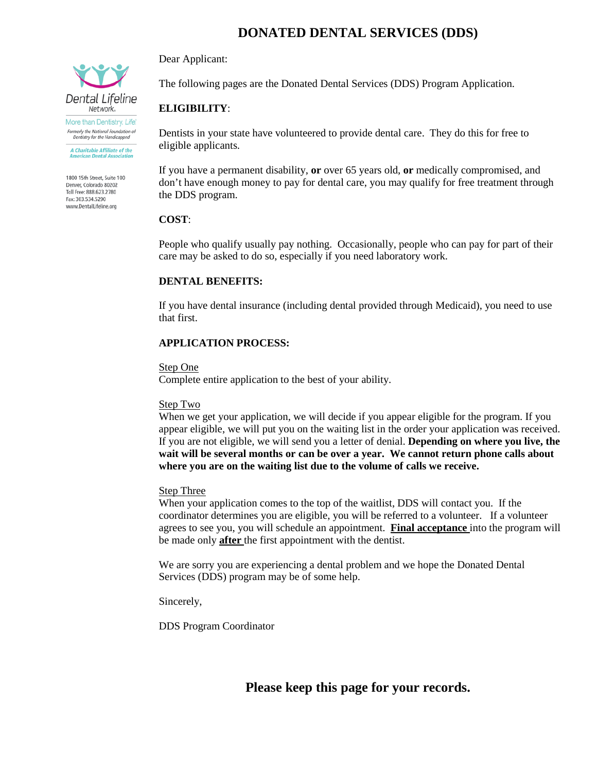# **DONATED DENTAL SERVICES (DDS)**

Dear Applicant:

The following pages are the Donated Dental Services (DDS) Program Application.

# **ELIGIBILITY**:

Dentists in your state have volunteered to provide dental care. They do this for free to eligible applicants.

If you have a permanent disability, **or** over 65 years old, **or** medically compromised, and don't have enough money to pay for dental care, you may qualify for free treatment through the DDS program.

# **COST**:

People who qualify usually pay nothing. Occasionally, people who can pay for part of their care may be asked to do so, especially if you need laboratory work.

# **DENTAL BENEFITS:**

If you have dental insurance (including dental provided through Medicaid), you need to use that first.

# **APPLICATION PROCESS:**

Step One

Complete entire application to the best of your ability.

#### Step Two

When we get your application, we will decide if you appear eligible for the program. If you appear eligible, we will put you on the waiting list in the order your application was received. If you are not eligible, we will send you a letter of denial. **Depending on where you live, the wait will be several months or can be over a year. We cannot return phone calls about where you are on the waiting list due to the volume of calls we receive.** 

# Step Three

When your application comes to the top of the waitlist, DDS will contact you. If the coordinator determines you are eligible, you will be referred to a volunteer. If a volunteer agrees to see you, you will schedule an appointment. **Final acceptance** into the program will be made only **after** the first appointment with the dentist.

We are sorry you are experiencing a dental problem and we hope the Donated Dental Services (DDS) program may be of some help.

Sincerely,

DDS Program Coordinator

**Please keep this page for your records.**



Formerly the National Foundation of<br>Dentistry for the Handicapped A Charitable Affiliate of the<br>American Dental Association

1800 15th Street, Suite 100 Denver, Colorado 80202 Toll Free: 888 623 2780 Fax: 303.534.5290 www.DentalLifeline.org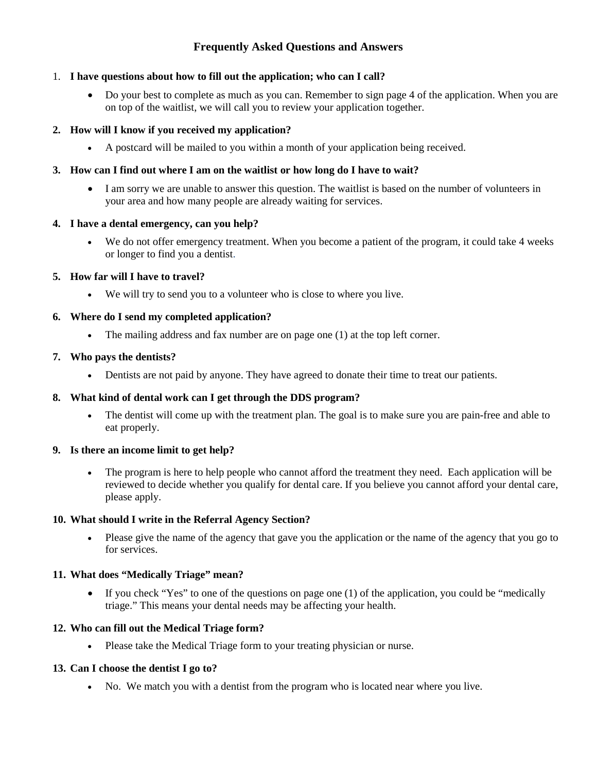# **Frequently Asked Questions and Answers**

# 1. **I have questions about how to fill out the application; who can I call?**

• Do your best to complete as much as you can. Remember to sign page 4 of the application. When you are on top of the waitlist, we will call you to review your application together.

#### **2. How will I know if you received my application?**

• A postcard will be mailed to you within a month of your application being received.

#### **3. How can I find out where I am on the waitlist or how long do I have to wait?**

• I am sorry we are unable to answer this question. The waitlist is based on the number of volunteers in your area and how many people are already waiting for services.

#### **4. I have a dental emergency, can you help?**

• We do not offer emergency treatment. When you become a patient of the program, it could take 4 weeks or longer to find you a dentist.

# **5. How far will I have to travel?**

• We will try to send you to a volunteer who is close to where you live.

#### **6. Where do I send my completed application?**

• The mailing address and fax number are on page one (1) at the top left corner.

#### **7. Who pays the dentists?**

• Dentists are not paid by anyone. They have agreed to donate their time to treat our patients.

# **8. What kind of dental work can I get through the DDS program?**

• The dentist will come up with the treatment plan. The goal is to make sure you are pain-free and able to eat properly.

#### **9. Is there an income limit to get help?**

• The program is here to help people who cannot afford the treatment they need. Each application will be reviewed to decide whether you qualify for dental care. If you believe you cannot afford your dental care, please apply.

# **10. What should I write in the Referral Agency Section?**

• Please give the name of the agency that gave you the application or the name of the agency that you go to for services.

#### **11. What does "Medically Triage" mean?**

• If you check "Yes" to one of the questions on page one  $(1)$  of the application, you could be "medically triage." This means your dental needs may be affecting your health.

#### **12. Who can fill out the Medical Triage form?**

• Please take the Medical Triage form to your treating physician or nurse.

# **13. Can I choose the dentist I go to?**

• No. We match you with a dentist from the program who is located near where you live.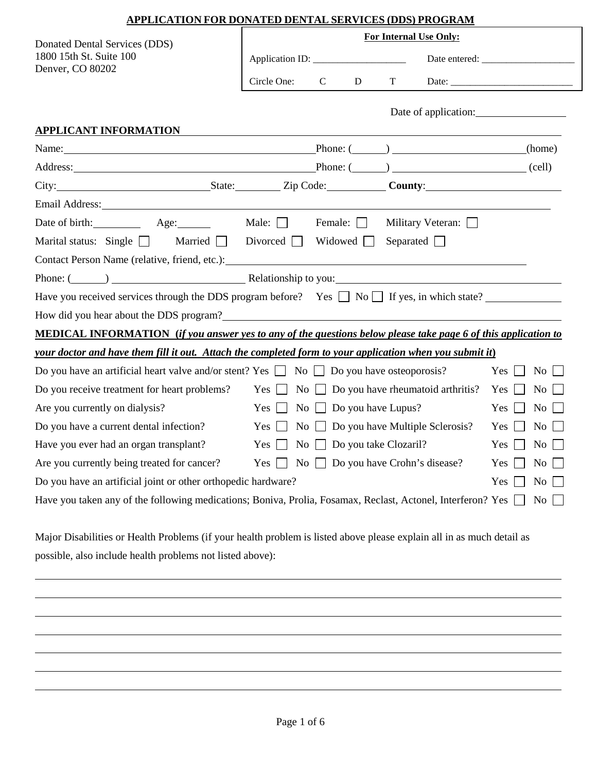| APPLICATION FOR DONATED DENTAL SERVICES (DDS) PROGRAM                                                                                                                                                                          |                                       |             |                                 |                                                                                                                                                                                                                                |                                                  |                                  |
|--------------------------------------------------------------------------------------------------------------------------------------------------------------------------------------------------------------------------------|---------------------------------------|-------------|---------------------------------|--------------------------------------------------------------------------------------------------------------------------------------------------------------------------------------------------------------------------------|--------------------------------------------------|----------------------------------|
| Donated Dental Services (DDS)                                                                                                                                                                                                  | For Internal Use Only:                |             |                                 |                                                                                                                                                                                                                                |                                                  |                                  |
| 1800 15th St. Suite 100                                                                                                                                                                                                        |                                       |             |                                 |                                                                                                                                                                                                                                |                                                  |                                  |
| Denver, CO 80202                                                                                                                                                                                                               | Circle One:                           | $\mathbf C$ | $D \Box$                        | T and the state of the state of the state of the state of the state of the state of the state of the state of the state of the state of the state of the state of the state of the state of the state of the state of the stat |                                                  |                                  |
|                                                                                                                                                                                                                                |                                       |             |                                 |                                                                                                                                                                                                                                |                                                  |                                  |
| <b>APPLICANT INFORMATION</b>                                                                                                                                                                                                   |                                       |             |                                 |                                                                                                                                                                                                                                |                                                  |                                  |
| Name: (home) Phone: (2002) 2012 (home)                                                                                                                                                                                         |                                       |             |                                 |                                                                                                                                                                                                                                |                                                  |                                  |
|                                                                                                                                                                                                                                |                                       |             |                                 |                                                                                                                                                                                                                                |                                                  |                                  |
| City: City: City: City: Cole: County: County: County: County: County: County: County: County: County: County: County: County: County: County: County: County: County: County: County: County: County: County: County: County:  |                                       |             |                                 |                                                                                                                                                                                                                                |                                                  |                                  |
| Email Address: No. 1996. The Second Second Second Second Second Second Second Second Second Second Second Second Second Second Second Second Second Second Second Second Second Second Second Second Second Second Second Seco |                                       |             |                                 |                                                                                                                                                                                                                                |                                                  |                                  |
| Date of birth: Age: Male:                                                                                                                                                                                                      |                                       |             | Female: $\Box$                  |                                                                                                                                                                                                                                | Military Veteran:                                |                                  |
| Marital status: Single Married Divorced Widowed                                                                                                                                                                                |                                       |             |                                 |                                                                                                                                                                                                                                | Separated $\Box$                                 |                                  |
| Contact Person Name (relative, friend, etc.): University of the set of the set of the set of the set of the set of the set of the set of the set of the set of the set of the set of the set of the set of the set of the set  |                                       |             |                                 |                                                                                                                                                                                                                                |                                                  |                                  |
| Phone: (Channel Communication 2) Relationship to you: Relationship to you:                                                                                                                                                     |                                       |             |                                 |                                                                                                                                                                                                                                |                                                  |                                  |
| Have you received services through the DDS program before? Yes $\Box$ No $\Box$ If yes, in which state?                                                                                                                        |                                       |             |                                 |                                                                                                                                                                                                                                |                                                  |                                  |
| How did you hear about the DDS program?                                                                                                                                                                                        |                                       |             |                                 |                                                                                                                                                                                                                                |                                                  |                                  |
| MEDICAL INFORMATION (if you answer yes to any of the questions below please take page 6 of this application to                                                                                                                 |                                       |             |                                 |                                                                                                                                                                                                                                |                                                  |                                  |
| your doctor and have them fill it out. Attach the completed form to your application when you submit it)                                                                                                                       |                                       |             |                                 |                                                                                                                                                                                                                                |                                                  |                                  |
| Do you have an artificial heart valve and/or stent? Yes $\Box$ No $\Box$ Do you have osteoporosis?                                                                                                                             |                                       |             |                                 |                                                                                                                                                                                                                                |                                                  | Yes  <br>$\rm{No}$               |
| Do you receive treatment for heart problems?                                                                                                                                                                                   |                                       |             |                                 |                                                                                                                                                                                                                                | $Yes \t No \t Do you have rheumatoid arthritis?$ | $\overline{N_{O}}$<br>Yes $\Box$ |
| Are you currently on dialysis?                                                                                                                                                                                                 | $Yes \Box No \Box Do you have Lupus?$ |             |                                 |                                                                                                                                                                                                                                |                                                  | Yes  <br>No                      |
| Do you have a current dental infection?                                                                                                                                                                                        | $Yes$                                 |             |                                 |                                                                                                                                                                                                                                | No $\Box$ Do you have Multiple Sclerosis?        | No<br>Yes                        |
| Have you ever had an organ transplant?                                                                                                                                                                                         | $Yes$                                 |             | No $\Box$ Do you take Clozaril? |                                                                                                                                                                                                                                |                                                  | Yes<br>No                        |
| Are you currently being treated for cancer?                                                                                                                                                                                    |                                       |             |                                 |                                                                                                                                                                                                                                | $Yes \t\t No \t\t Do you have Crohn's disease?$  | Yes<br>No.                       |
| Do you have an artificial joint or other orthopedic hardware?                                                                                                                                                                  |                                       |             |                                 |                                                                                                                                                                                                                                |                                                  | Yes<br>No                        |
| Have you taken any of the following medications; Boniva, Prolia, Fosamax, Reclast, Actonel, Interferon? Yes                                                                                                                    |                                       |             |                                 |                                                                                                                                                                                                                                |                                                  | No                               |
| Major Disabilities or Health Problems (if your health problem is listed above please explain all in as much detail as                                                                                                          |                                       |             |                                 |                                                                                                                                                                                                                                |                                                  |                                  |
| possible, also include health problems not listed above):                                                                                                                                                                      |                                       |             |                                 |                                                                                                                                                                                                                                |                                                  |                                  |
|                                                                                                                                                                                                                                |                                       |             |                                 |                                                                                                                                                                                                                                |                                                  |                                  |
|                                                                                                                                                                                                                                |                                       |             |                                 |                                                                                                                                                                                                                                |                                                  |                                  |
|                                                                                                                                                                                                                                |                                       |             |                                 |                                                                                                                                                                                                                                |                                                  |                                  |
|                                                                                                                                                                                                                                |                                       |             |                                 |                                                                                                                                                                                                                                |                                                  |                                  |
|                                                                                                                                                                                                                                |                                       |             |                                 |                                                                                                                                                                                                                                |                                                  |                                  |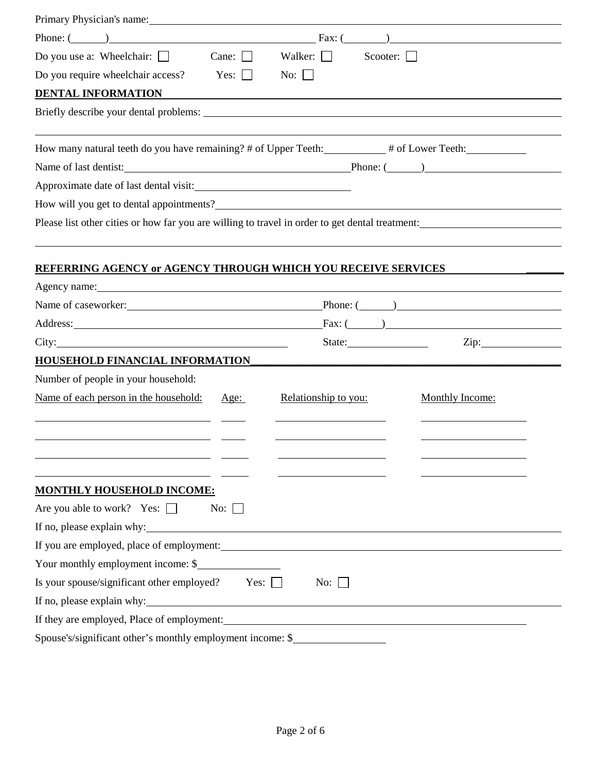| Primary Physician's name:                                                                                                                                                                                                      |                      |                                                                                                                                                                                                                                                                                                 |                   |
|--------------------------------------------------------------------------------------------------------------------------------------------------------------------------------------------------------------------------------|----------------------|-------------------------------------------------------------------------------------------------------------------------------------------------------------------------------------------------------------------------------------------------------------------------------------------------|-------------------|
| Phone: $\qquad \qquad$                                                                                                                                                                                                         | Fax: $($             |                                                                                                                                                                                                                                                                                                 |                   |
| Cane: $\Box$<br>Do you use a: Wheelchair: $\Box$                                                                                                                                                                               | Walker:<br>$\sim$    | Scooter:                                                                                                                                                                                                                                                                                        |                   |
| Do you require wheelchair access?<br>Yes: $\Box$                                                                                                                                                                               | No: $\vert \ \vert$  |                                                                                                                                                                                                                                                                                                 |                   |
| <b>DENTAL INFORMATION</b>                                                                                                                                                                                                      |                      |                                                                                                                                                                                                                                                                                                 |                   |
|                                                                                                                                                                                                                                |                      |                                                                                                                                                                                                                                                                                                 |                   |
| How many natural teeth do you have remaining? # of Upper Teeth: ________# of Lower Teeth: _________                                                                                                                            |                      |                                                                                                                                                                                                                                                                                                 |                   |
| Name of last dentist: Phone: (2008)                                                                                                                                                                                            |                      |                                                                                                                                                                                                                                                                                                 |                   |
|                                                                                                                                                                                                                                |                      |                                                                                                                                                                                                                                                                                                 |                   |
|                                                                                                                                                                                                                                |                      |                                                                                                                                                                                                                                                                                                 |                   |
| Please list other cities or how far you are willing to travel in order to get dental treatment:                                                                                                                                |                      |                                                                                                                                                                                                                                                                                                 |                   |
|                                                                                                                                                                                                                                |                      |                                                                                                                                                                                                                                                                                                 |                   |
|                                                                                                                                                                                                                                |                      |                                                                                                                                                                                                                                                                                                 |                   |
| <b>REFERRING AGENCY or AGENCY THROUGH WHICH YOU RECEIVE SERVICES</b>                                                                                                                                                           |                      |                                                                                                                                                                                                                                                                                                 |                   |
| Agency name: New York Changes and Second Changes and Second Changes and Second Changes and Second Changes and Second Changes and Second Changes and Second Changes and Second Changes and Second Changes and Second Changes an |                      |                                                                                                                                                                                                                                                                                                 |                   |
|                                                                                                                                                                                                                                |                      | $\text{Phone: } (\_\_)$                                                                                                                                                                                                                                                                         |                   |
| Address: 1000 million and the contract of the contract of the contract of the contract of the contract of the contract of the contract of the contract of the contract of the contract of the contract of the contract of the  |                      | $-Fax: ($ and $\qquad)$ and $\qquad$ and $\qquad$ and $\qquad$ and $\qquad$ and $\qquad$ and $\qquad$ and $\qquad$ and $\qquad$ and $\qquad$ and $\qquad$ and $\qquad$ and $\qquad$ and $\qquad$ and $\qquad$ and $\qquad$ and $\qquad$ and $\qquad$ and $\qquad$ and $\qquad$ and $\qquad$ and |                   |
| City:                                                                                                                                                                                                                          |                      | State: State:                                                                                                                                                                                                                                                                                   | $\overline{Zip:}$ |
| <b>HOUSEHOLD FINANCIAL INFORMATION_</b>                                                                                                                                                                                        |                      |                                                                                                                                                                                                                                                                                                 |                   |
| Number of people in your household:                                                                                                                                                                                            |                      |                                                                                                                                                                                                                                                                                                 |                   |
| Name of each person in the household:<br>Age:                                                                                                                                                                                  | Relationship to you: | <b>Monthly Income:</b>                                                                                                                                                                                                                                                                          |                   |
|                                                                                                                                                                                                                                |                      |                                                                                                                                                                                                                                                                                                 |                   |
|                                                                                                                                                                                                                                |                      |                                                                                                                                                                                                                                                                                                 |                   |
|                                                                                                                                                                                                                                |                      |                                                                                                                                                                                                                                                                                                 |                   |
|                                                                                                                                                                                                                                |                      |                                                                                                                                                                                                                                                                                                 |                   |
| <b>MONTHLY HOUSEHOLD INCOME:</b>                                                                                                                                                                                               |                      |                                                                                                                                                                                                                                                                                                 |                   |
| Are you able to work? Yes: $\Box$<br>No: $\Box$                                                                                                                                                                                |                      |                                                                                                                                                                                                                                                                                                 |                   |
| If no, please explain why:                                                                                                                                                                                                     |                      |                                                                                                                                                                                                                                                                                                 |                   |
| If you are employed, place of employment:                                                                                                                                                                                      |                      |                                                                                                                                                                                                                                                                                                 |                   |
| Your monthly employment income: \$                                                                                                                                                                                             |                      |                                                                                                                                                                                                                                                                                                 |                   |
| Is your spouse/significant other employed? Yes: $\Box$                                                                                                                                                                         | No: $\Box$           |                                                                                                                                                                                                                                                                                                 |                   |
| If no, please explain why:                                                                                                                                                                                                     |                      |                                                                                                                                                                                                                                                                                                 |                   |
|                                                                                                                                                                                                                                |                      |                                                                                                                                                                                                                                                                                                 |                   |
| Spouse's/significant other's monthly employment income: \$                                                                                                                                                                     |                      |                                                                                                                                                                                                                                                                                                 |                   |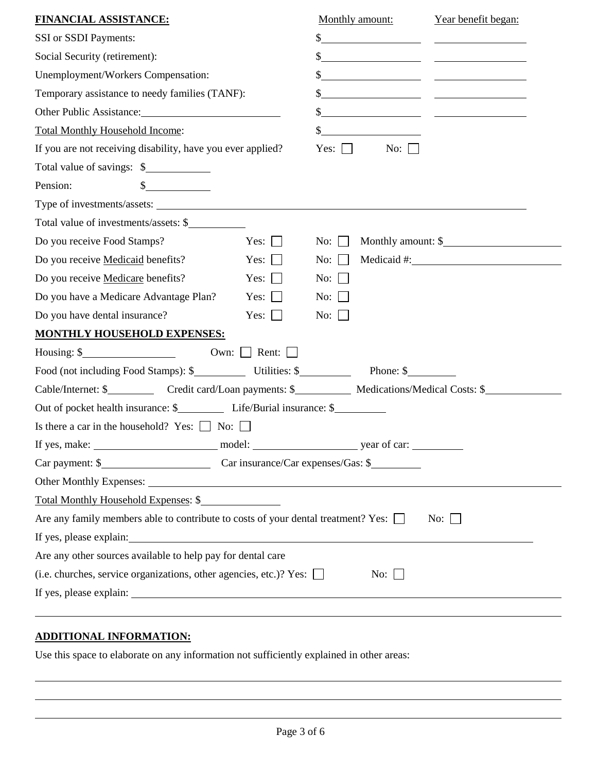| <b>FINANCIAL ASSISTANCE:</b>                                                                                                                                                                                                   | Monthly amount:                                                                                                                       | Year benefit began:                                                                                                  |  |  |
|--------------------------------------------------------------------------------------------------------------------------------------------------------------------------------------------------------------------------------|---------------------------------------------------------------------------------------------------------------------------------------|----------------------------------------------------------------------------------------------------------------------|--|--|
| SSI or SSDI Payments:                                                                                                                                                                                                          | $\mathbb{S}^-$                                                                                                                        |                                                                                                                      |  |  |
| Social Security (retirement):                                                                                                                                                                                                  |                                                                                                                                       | <u> The Communication of the Communication</u>                                                                       |  |  |
| Unemployment/Workers Compensation:                                                                                                                                                                                             |                                                                                                                                       |                                                                                                                      |  |  |
| Temporary assistance to needy families (TANF):                                                                                                                                                                                 | \$                                                                                                                                    | <u> 1989 - Johann John Harry Harry Harry Harry Harry Harry Harry Harry Harry Harry Harry Harry Harry Harry Harry</u> |  |  |
| Other Public Assistance:                                                                                                                                                                                                       |                                                                                                                                       |                                                                                                                      |  |  |
| <b>Total Monthly Household Income:</b>                                                                                                                                                                                         | $\frac{1}{2}$<br><u> 1980 - Jan Stein Stein Stein Stein Stein Stein Stein Stein Stein Stein Stein Stein Stein Stein Stein Stein S</u> |                                                                                                                      |  |  |
| If you are not receiving disability, have you ever applied?                                                                                                                                                                    | Yes: $\vert$ $\vert$<br>No: $\Box$                                                                                                    |                                                                                                                      |  |  |
| Total value of savings: \$                                                                                                                                                                                                     |                                                                                                                                       |                                                                                                                      |  |  |
| Pension:<br>$\mathbb{S}^-$                                                                                                                                                                                                     |                                                                                                                                       |                                                                                                                      |  |  |
|                                                                                                                                                                                                                                |                                                                                                                                       |                                                                                                                      |  |  |
| Total value of investments/assets: \$                                                                                                                                                                                          |                                                                                                                                       |                                                                                                                      |  |  |
| Do you receive Food Stamps?<br>Yes: $\vert \ \vert$                                                                                                                                                                            | No: $\Box$                                                                                                                            | Monthly amount: \$                                                                                                   |  |  |
| Do you receive Medicaid benefits?<br>Yes: $\Box$                                                                                                                                                                               | No: $\vert \ \vert$                                                                                                                   | Medicaid #:                                                                                                          |  |  |
| Do you receive Medicare benefits?<br>Yes: $\Box$                                                                                                                                                                               | No: $\Box$                                                                                                                            |                                                                                                                      |  |  |
| Do you have a Medicare Advantage Plan?<br>Yes: $\vert \ \vert$                                                                                                                                                                 | No:                                                                                                                                   |                                                                                                                      |  |  |
| Do you have dental insurance?<br>Yes: $\Box$                                                                                                                                                                                   | $\overline{N_{0}}$ :                                                                                                                  |                                                                                                                      |  |  |
| <b>MONTHLY HOUSEHOLD EXPENSES:</b>                                                                                                                                                                                             |                                                                                                                                       |                                                                                                                      |  |  |
| Housing: $\frac{1}{2}$<br>Own: $\Box$ Rent: $\Box$                                                                                                                                                                             |                                                                                                                                       |                                                                                                                      |  |  |
| Food (not including Food Stamps): \$ Utilities: \$ Phone: \$ Phone: \$                                                                                                                                                         |                                                                                                                                       |                                                                                                                      |  |  |
| Cable/Internet: \$_____________ Credit card/Loan payments: \$____________ Medications/Medical Costs: \$_________                                                                                                               |                                                                                                                                       |                                                                                                                      |  |  |
|                                                                                                                                                                                                                                |                                                                                                                                       |                                                                                                                      |  |  |
| Is there a car in the household? Yes: $\Box$ No: $\Box$                                                                                                                                                                        |                                                                                                                                       |                                                                                                                      |  |  |
| If yes, make:<br>model:                                                                                                                                                                                                        | year of car:                                                                                                                          |                                                                                                                      |  |  |
|                                                                                                                                                                                                                                |                                                                                                                                       |                                                                                                                      |  |  |
|                                                                                                                                                                                                                                |                                                                                                                                       |                                                                                                                      |  |  |
| Total Monthly Household Expenses: \$                                                                                                                                                                                           |                                                                                                                                       |                                                                                                                      |  |  |
| Are any family members able to contribute to costs of your dental treatment? Yes: $\Box$                                                                                                                                       |                                                                                                                                       | No: $\Box$                                                                                                           |  |  |
| If yes, please explain: 100 million and the set of the set of the set of the set of the set of the set of the set of the set of the set of the set of the set of the set of the set of the set of the set of the set of the se |                                                                                                                                       |                                                                                                                      |  |  |
| Are any other sources available to help pay for dental care                                                                                                                                                                    |                                                                                                                                       |                                                                                                                      |  |  |
| (i.e. churches, service organizations, other agencies, etc.)? Yes: $\Box$<br>No: $\vert$ $\vert$                                                                                                                               |                                                                                                                                       |                                                                                                                      |  |  |
|                                                                                                                                                                                                                                |                                                                                                                                       |                                                                                                                      |  |  |
|                                                                                                                                                                                                                                |                                                                                                                                       |                                                                                                                      |  |  |

# **ADDITIONAL INFORMATION:**

 $\overline{a}$ 

Use this space to elaborate on any information not sufficiently explained in other areas: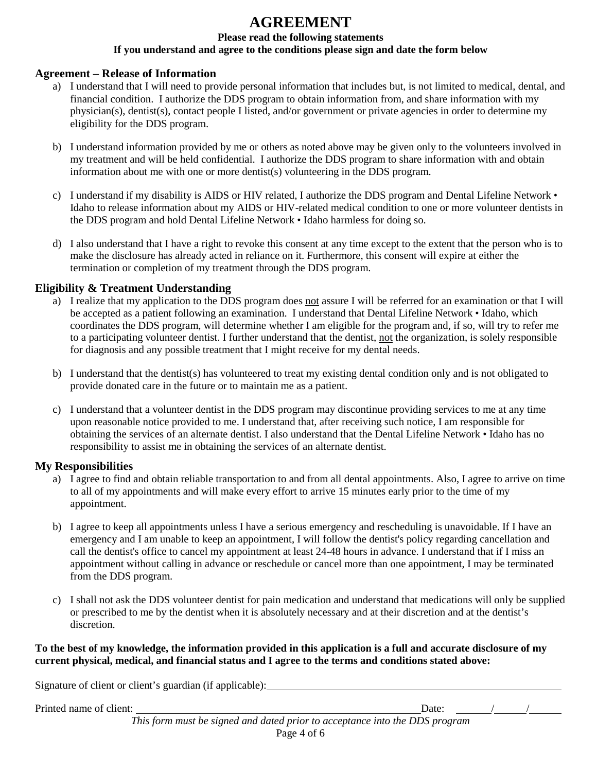# **AGREEMENT**

# **Please read the following statements**

# **If you understand and agree to the conditions please sign and date the form below**

# **Agreement – Release of Information**

- a) I understand that I will need to provide personal information that includes but, is not limited to medical, dental, and financial condition. I authorize the DDS program to obtain information from, and share information with my physician(s), dentist(s), contact people I listed, and/or government or private agencies in order to determine my eligibility for the DDS program.
- b) I understand information provided by me or others as noted above may be given only to the volunteers involved in my treatment and will be held confidential. I authorize the DDS program to share information with and obtain information about me with one or more dentist(s) volunteering in the DDS program.
- c) I understand if my disability is AIDS or HIV related, I authorize the DDS program and Dental Lifeline Network Idaho to release information about my AIDS or HIV-related medical condition to one or more volunteer dentists in the DDS program and hold Dental Lifeline Network • Idaho harmless for doing so.
- d) I also understand that I have a right to revoke this consent at any time except to the extent that the person who is to make the disclosure has already acted in reliance on it. Furthermore, this consent will expire at either the termination or completion of my treatment through the DDS program.

# **Eligibility & Treatment Understanding**

- a) I realize that my application to the DDS program does not assure I will be referred for an examination or that I will be accepted as a patient following an examination. I understand that Dental Lifeline Network • Idaho, which coordinates the DDS program, will determine whether I am eligible for the program and, if so, will try to refer me to a participating volunteer dentist. I further understand that the dentist, not the organization, is solely responsible for diagnosis and any possible treatment that I might receive for my dental needs.
- b) I understand that the dentist(s) has volunteered to treat my existing dental condition only and is not obligated to provide donated care in the future or to maintain me as a patient.
- c) I understand that a volunteer dentist in the DDS program may discontinue providing services to me at any time upon reasonable notice provided to me. I understand that, after receiving such notice, I am responsible for obtaining the services of an alternate dentist. I also understand that the Dental Lifeline Network • Idaho has no responsibility to assist me in obtaining the services of an alternate dentist.

# **My Responsibilities**

- a) I agree to find and obtain reliable transportation to and from all dental appointments. Also, I agree to arrive on time to all of my appointments and will make every effort to arrive 15 minutes early prior to the time of my appointment.
- b) I agree to keep all appointments unless I have a serious emergency and rescheduling is unavoidable. If I have an emergency and I am unable to keep an appointment, I will follow the dentist's policy regarding cancellation and call the dentist's office to cancel my appointment at least 24-48 hours in advance. I understand that if I miss an appointment without calling in advance or reschedule or cancel more than one appointment, I may be terminated from the DDS program.
- c) I shall not ask the DDS volunteer dentist for pain medication and understand that medications will only be supplied or prescribed to me by the dentist when it is absolutely necessary and at their discretion and at the dentist's discretion.

# **To the best of my knowledge, the information provided in this application is a full and accurate disclosure of my current physical, medical, and financial status and I agree to the terms and conditions stated above:**

Signature of client or client's guardian (if applicable):

Printed name of client: Date: / /

*This form must be signed and dated prior to acceptance into the DDS program* Page 4 of 6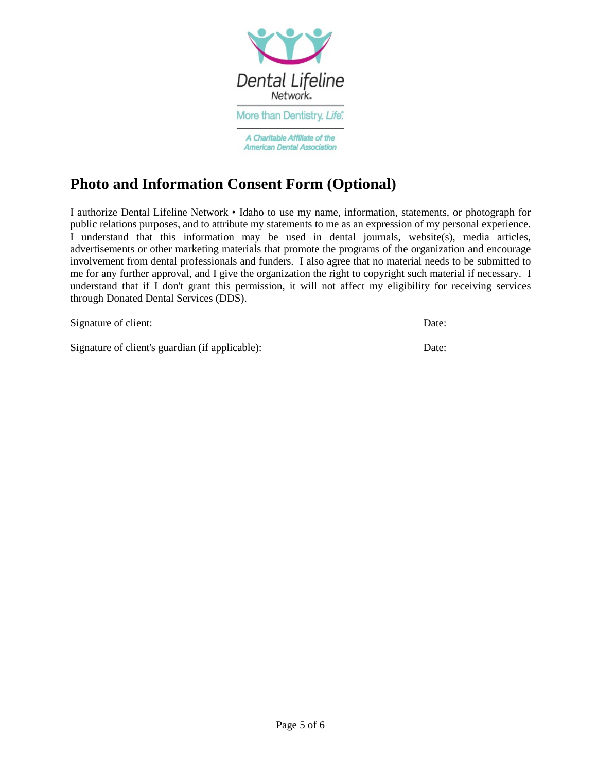

# **Photo and Information Consent Form (Optional)**

I authorize Dental Lifeline Network • Idaho to use my name, information, statements, or photograph for public relations purposes, and to attribute my statements to me as an expression of my personal experience. I understand that this information may be used in dental journals, website(s), media articles, advertisements or other marketing materials that promote the programs of the organization and encourage involvement from dental professionals and funders. I also agree that no material needs to be submitted to me for any further approval, and I give the organization the right to copyright such material if necessary. I understand that if I don't grant this permission, it will not affect my eligibility for receiving services through Donated Dental Services (DDS).

| Signature of client: | zale |
|----------------------|------|
|                      |      |

Signature of client's guardian (if applicable): Date: